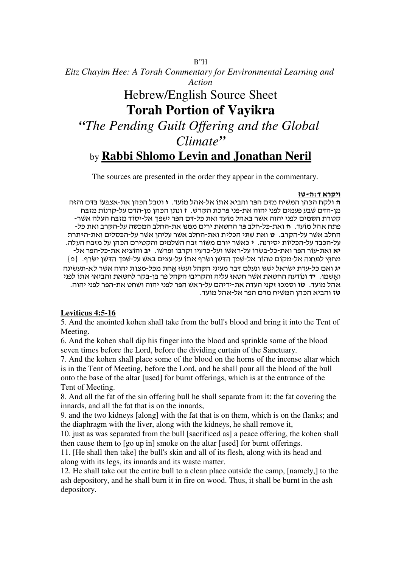*Eitz Chayim Hee: A Torah Commentary for Environmental Learning and Action*

# Hebrew/English Source Sheet **Torah Portion of Vayikra** *"The Pending Guilt Offering and the Global Climate"* by **Rabbi Shlomo Levin and Jonathan Neril**

 $\overline{\phantom{a}}$ 

The sources are presented in the order they appear in the commentary.

## <mark>ויקרא ד:ה-טז</mark>

ה ולקח הכהן המשיח מדם הפר והביא אתו אל-אהל מועד. 1 וטבל הכהן את-אצבעו בדם והזה מן-הדם שבע פעמים לפני יהוה את-פני פרכת הקדש. ז ונתן הכהן מן-הדם על-קרנות מזבח קטרת הסמים לפני יהוה אשר באהל מועד ואת כל-דם הפר ישפך אל-יסוד מזבח העלה אשר-פתח אהל מועד. חואת-כל-חלב פר החטאת ירים ממנו את-החלב המכסה על-הקרב ואת כל-החלב אשר על-הקרב. ט ואת שתי הכלית ואת-החלב אשר עליהן אשר על-הכסלים ואת-היתרת על-הכבד על-הכליות יסירנה. • כאשר יורם משור זבח השלמים והקטירם הכהן על מזבח העלה. יא ואת-עור הפר ואת-כל-בשרו על-ראשו ועל-כרעיו וקרבו ופרשו. יב והוציא את-כל-הפר אל-מחוץ למחנה אל-מקום טהור אל-שפך הדשן ושרף אתו על-עצים באש על-שפך הדשן ישרף. {פ} יג ואם כל-עדת ישראל ישגו ונעלם דבר מעיני הקהל ועשו אחת מכל-מצות יהוה אשר לא-תעשינה  $\cdot$ ואַשמוּ. יד ונודעה החטאת אשר חטאו עליה והקריבו הקהל פר בן-בקר לחטאת והביאו אתו לפני אהל מועד. **טו** וסמכו זקני העדה את-ידיהם על-ראש הפר לפני יהוה ושחט את-הפר לפני יהוה. טז והביא הכהן המשיח מדם הפר אל-אהל מועד.

# **Leviticus 4:5-16**

5. And the anointed kohen shall take from the bull's blood and bring it into the Tent of Meeting.

6. And the kohen shall dip his finger into the blood and sprinkle some of the blood seven times before the Lord, before the dividing curtain of the Sanctuary.

7. And the kohen shall place some of the blood on the horns of the incense altar which is in the Tent of Meeting, before the Lord, and he shall pour all the blood of the bull onto the base of the altar [used] for burnt offerings, which is at the entrance of the Tent of Meeting.

8. And all the fat of the sin offering bull he shall separate from it: the fat covering the innards, and all the fat that is on the innards,

9. and the two kidneys [along] with the fat that is on them, which is on the flanks; and the diaphragm with the liver, along with the kidneys, he shall remove it,

10. just as was separated from the bull [sacrificed as] a peace offering, the kohen shall then cause them to [go up in] smoke on the altar [used] for burnt offerings.

11. [He shall then take] the bull's skin and all of its flesh, along with its head and along with its legs, its innards and its waste matter.

12. He shall take out the entire bull to a clean place outside the camp, [namely,] to the ash depository, and he shall burn it in fire on wood. Thus, it shall be burnt in the ash depository.

B"H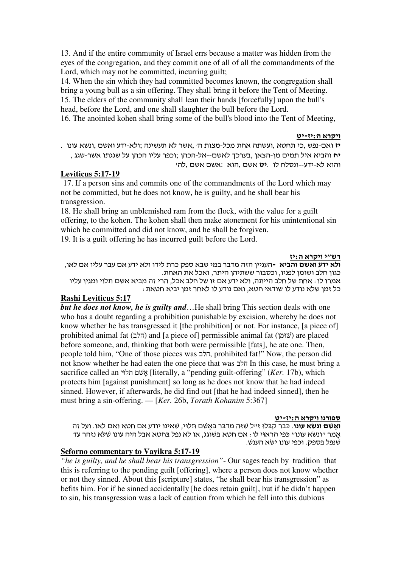13. And if the entire community of Israel errs because a matter was hidden from the eyes of the congregation, and they commit one of all of all the commandments of the Lord, which may not be committed, incurring guilt;

14. When the sin which they had committed becomes known, the congregation shall bring a young bull as a sin offering. They shall bring it before the Tent of Meeting. 15. The elders of the community shall lean their hands [forcefully] upon the bull's head, before the Lord, and one shall slaughter the bull before the Lord.

16. The anointed kohen shall bring some of the bull's blood into the Tent of Meeting,

# <u>ויקרא ה:יז-יט</u>

. יז ואם-נפש ,כי תחטא ,ועשתה אחת מכל-מצות ה׳ ,אשר לא תעשינה ;ולא-ידע ואשם ,ונשא עונו , יח והביא איל תמים מן-הצאן ,בערכך לאשם--אל-הכהן ;וכפר עליו הכהן על שגגתו אשר-שגג

והוא לא-ידע--ונסלח לו. **יט** אשם ,הוא :אשם אשם

## **Leviticus 5:17-19**

17. If a person sins and commits one of the commandments of the Lord which may not be committed, but he does not know, he is guilty, and he shall bear his transgression.

18. He shall bring an unblemished ram from the flock, with the value for a guilt offering, to the kohen. The kohen shall then make atonement for his unintentional sin which he committed and did not know, and he shall be forgiven.

19. It is a guilt offering he has incurred guilt before the Lord.

#### רש"י ויקרא ה:יז

ו**לא ידע ואשם והביא -**העניין הזה מדבר במי שבא ספק כרת לידו ולא ידע אם עבר עליו אם לאו, כגון חלב ושומן לפניו, וכסבור ששתיהן היתר, ואכל את האחת. אמרו לו: אחת של חלב הייתה, ולא ידע א זו של חלב אכל, הרי זה מביא אש תלוי ומגי עליו : כל זמן שלא נודע לו שודאי חטא, ואם נודע לו לאחר זמן יביא חטאת

## **Rashi Leviticus 5:17**

*but he does not know, he is guilty and*…He shall bring This section deals with one who has a doubt regarding a prohibition punishable by excision, whereby he does not know whether he has transgressed it [the prohibition] or not. For instance, [a piece of] prohibited animal fat (הלב) and [a piece of] permissible animal fat (שוּמן) are placed before someone, and, thinking that both were permissible [fats], he ate one. Then, people told him, "One of those pieces was הלב, prohibited fat!" Now, the person did not know whether he had eaten the one piece that was הלב In this case, he must bring a sacrifice called an *וֹשׁם* תלוּי (*ker.* 17b), which  $\alpha$  "pending guilt-offering" (*Ker.* 17b), which protects him [against punishment] so long as he does not know that he had indeed sinned. However, if afterwards, he did find out [that he had indeed sinned], then he must bring a sin-offering. — [*Ker.* 26b, *Torath Kohanim* 5:367]

## <mark>ספורנו ויקרא ה:יז-יט</mark>

ו**אשם ונשא עונו**. כבר קבלו זייל שזה מדבר באשם תלוי. שאינו יודע אם חטא ואם לאו. ועל זה אמר ״ונשא עונו״ כּפי הראוי לו . אם חטא בשוגג, או לא נפל בחטא אבל היה עונו שלא נזהר עד . שנפל בספק. וכפי עונו ישא הענש

# **Seforno commentary to Vayikra 5:17-19**

*"he is guilty, and he shall bear his transgression"*- Our sages teach by tradition that this is referring to the pending guilt [offering], where a person does not know whether or not they sinned. About this [scripture] states, "he shall bear his transgression" as befits him. For if he sinned accidentally [he does retain guilt], but if he didn't happen to sin, his transgression was a lack of caution from which he fell into this dubious